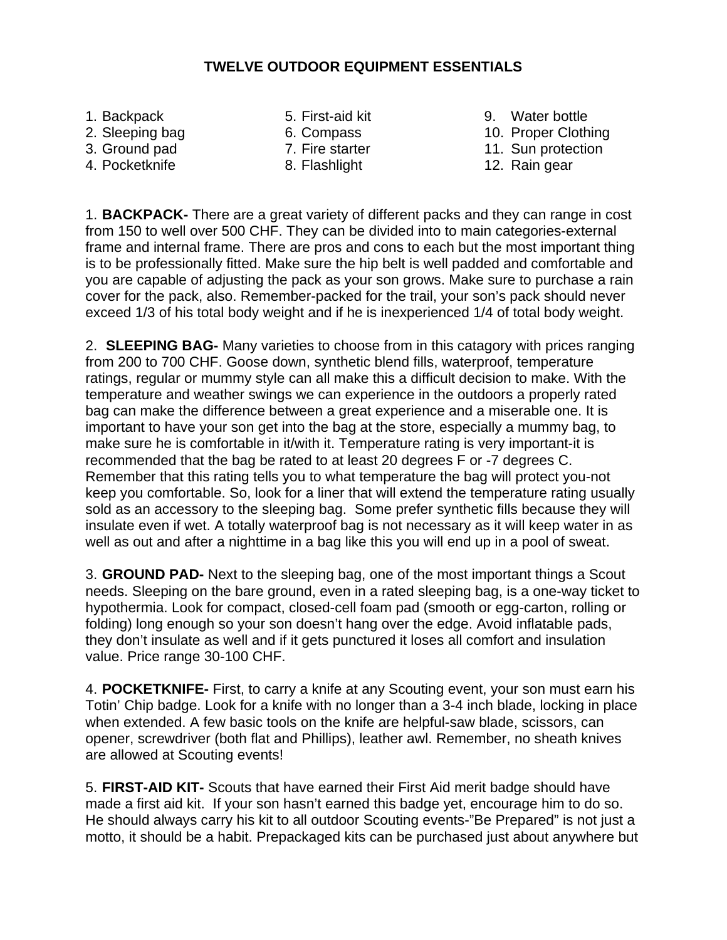## **TWELVE OUTDOOR EQUIPMENT ESSENTIALS**

- 1. Backpack
- 2. Sleeping bag
- 3. Ground pad
- 4. Pocketknife
- 5. First-aid kit
- 6. Compass
- 7. Fire starter
- 8. Flashlight
- 9. Water bottle
- 10. Proper Clothing
- 11. Sun protection
- 12. Rain gear

1. **BACKPACK-** There are a great variety of different packs and they can range in cost from 150 to well over 500 CHF. They can be divided into to main categories-external frame and internal frame. There are pros and cons to each but the most important thing is to be professionally fitted. Make sure the hip belt is well padded and comfortable and you are capable of adjusting the pack as your son grows. Make sure to purchase a rain cover for the pack, also. Remember-packed for the trail, your son's pack should never exceed 1/3 of his total body weight and if he is inexperienced 1/4 of total body weight.

2. **SLEEPING BAG-** Many varieties to choose from in this catagory with prices ranging from 200 to 700 CHF. Goose down, synthetic blend fills, waterproof, temperature ratings, regular or mummy style can all make this a difficult decision to make. With the temperature and weather swings we can experience in the outdoors a properly rated bag can make the difference between a great experience and a miserable one. It is important to have your son get into the bag at the store, especially a mummy bag, to make sure he is comfortable in it/with it. Temperature rating is very important-it is recommended that the bag be rated to at least 20 degrees F or -7 degrees C. Remember that this rating tells you to what temperature the bag will protect you-not keep you comfortable. So, look for a liner that will extend the temperature rating usually sold as an accessory to the sleeping bag. Some prefer synthetic fills because they will insulate even if wet. A totally waterproof bag is not necessary as it will keep water in as well as out and after a nighttime in a bag like this you will end up in a pool of sweat.

3. **GROUND PAD-** Next to the sleeping bag, one of the most important things a Scout needs. Sleeping on the bare ground, even in a rated sleeping bag, is a one-way ticket to hypothermia. Look for compact, closed-cell foam pad (smooth or egg-carton, rolling or folding) long enough so your son doesn't hang over the edge. Avoid inflatable pads, they don't insulate as well and if it gets punctured it loses all comfort and insulation value. Price range 30-100 CHF.

4. **POCKETKNIFE-** First, to carry a knife at any Scouting event, your son must earn his Totin' Chip badge. Look for a knife with no longer than a 3-4 inch blade, locking in place when extended. A few basic tools on the knife are helpful-saw blade, scissors, can opener, screwdriver (both flat and Phillips), leather awl. Remember, no sheath knives are allowed at Scouting events!

5. **FIRST-AID KIT-** Scouts that have earned their First Aid merit badge should have made a first aid kit. If your son hasn't earned this badge yet, encourage him to do so. He should always carry his kit to all outdoor Scouting events-"Be Prepared" is not just a motto, it should be a habit. Prepackaged kits can be purchased just about anywhere but